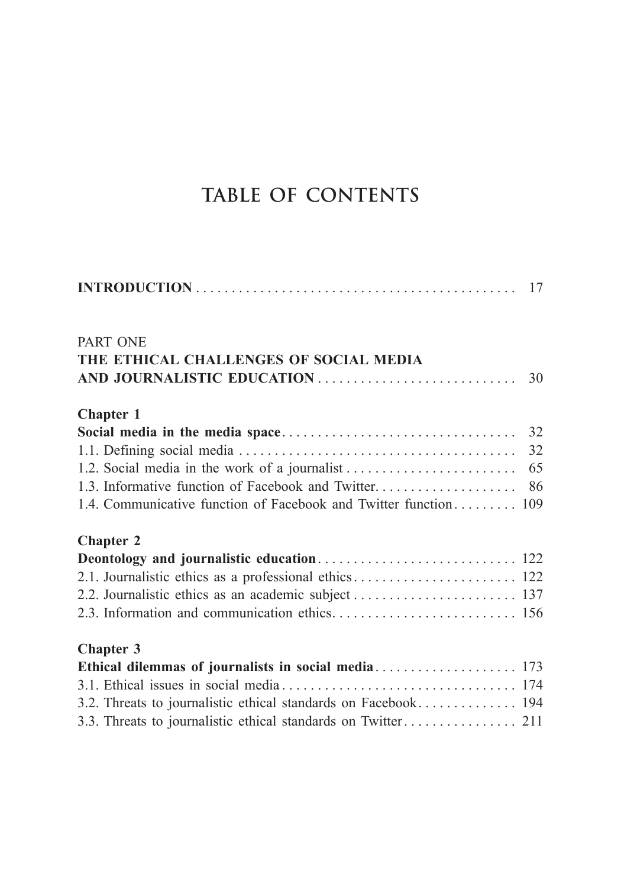## **TABLE OF CONTENTS**

| <b>PART ONE</b><br>THE ETHICAL CHALLENGES OF SOCIAL MEDIA        | 30 |
|------------------------------------------------------------------|----|
| <b>Chapter 1</b>                                                 |    |
|                                                                  |    |
|                                                                  |    |
|                                                                  |    |
|                                                                  |    |
| 1.4. Communicative function of Facebook and Twitter function 109 |    |
| <b>Chapter 2</b>                                                 |    |
|                                                                  |    |
|                                                                  |    |
|                                                                  |    |
|                                                                  |    |
| <b>Chapter 3</b>                                                 |    |
|                                                                  |    |
|                                                                  |    |
| 3.2. Threats to journalistic ethical standards on Facebook 194   |    |
|                                                                  |    |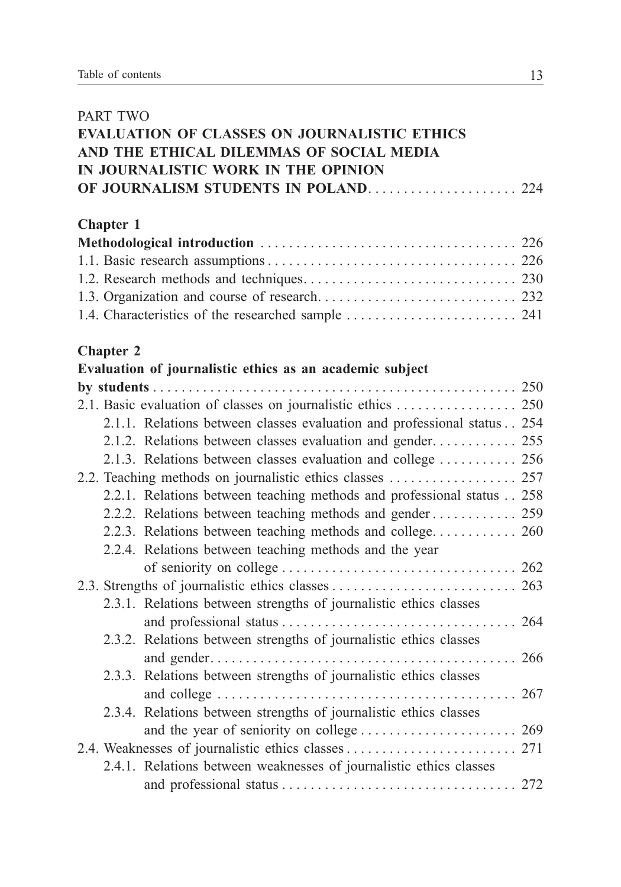| <b>PART TWO</b>  |                                                                         |  |
|------------------|-------------------------------------------------------------------------|--|
|                  | <b>EVALUATION OF CLASSES ON JOURNALISTIC ETHICS</b>                     |  |
|                  | AND THE ETHICAL DILEMMAS OF SOCIAL MEDIA                                |  |
|                  | IN JOURNALISTIC WORK IN THE OPINION                                     |  |
|                  |                                                                         |  |
|                  |                                                                         |  |
| <b>Chapter 1</b> |                                                                         |  |
|                  |                                                                         |  |
|                  |                                                                         |  |
|                  |                                                                         |  |
|                  |                                                                         |  |
|                  |                                                                         |  |
| <b>Chapter 2</b> |                                                                         |  |
|                  | Evaluation of journalistic ethics as an academic subject                |  |
|                  |                                                                         |  |
|                  | 2.1. Basic evaluation of classes on journalistic ethics  250            |  |
|                  | 2.1.1. Relations between classes evaluation and professional status 254 |  |
|                  | 2.1.2. Relations between classes evaluation and gender 255              |  |
|                  | 2.1.3. Relations between classes evaluation and college  256            |  |
|                  |                                                                         |  |
|                  | 2.2.1. Relations between teaching methods and professional status 258   |  |
|                  | 2.2.2. Relations between teaching methods and gender 259                |  |
|                  | 2.2.3. Relations between teaching methods and college 260               |  |
|                  | 2.2.4. Relations between teaching methods and the year                  |  |
|                  |                                                                         |  |
|                  |                                                                         |  |
|                  | 2.3.1. Relations between strengths of journalistic ethics classes       |  |
|                  |                                                                         |  |
|                  | 2.3.2. Relations between strengths of journalistic ethics classes       |  |
|                  |                                                                         |  |
|                  | 2.3.3. Relations between strengths of journalistic ethics classes       |  |
|                  | $\ldots$ . 267                                                          |  |
|                  | 2.3.4. Relations between strengths of journalistic ethics classes       |  |
|                  |                                                                         |  |
|                  |                                                                         |  |
|                  | 2.4.1. Relations between weaknesses of journalistic ethics classes      |  |
|                  |                                                                         |  |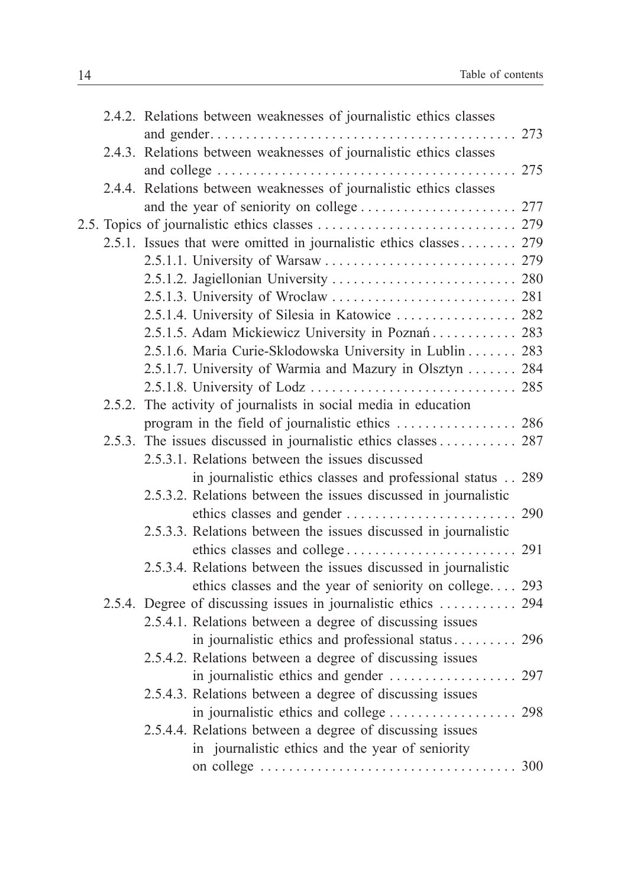|        | 2.4.2. Relations between weaknesses of journalistic ethics classes |  |
|--------|--------------------------------------------------------------------|--|
|        |                                                                    |  |
|        | 2.4.3. Relations between weaknesses of journalistic ethics classes |  |
|        |                                                                    |  |
|        | 2.4.4. Relations between weaknesses of journalistic ethics classes |  |
|        |                                                                    |  |
|        |                                                                    |  |
|        | 2.5.1. Issues that were omitted in journalistic ethics classes 279 |  |
|        |                                                                    |  |
|        | 2.5.1.2. Jagiellonian University  280                              |  |
|        |                                                                    |  |
|        | 2.5.1.4. University of Silesia in Katowice  282                    |  |
|        | 2.5.1.5. Adam Mickiewicz University in Poznań 283                  |  |
|        | 2.5.1.6. Maria Curie-Sklodowska University in Lublin 283           |  |
|        | 2.5.1.7. University of Warmia and Mazury in Olsztyn  284           |  |
|        |                                                                    |  |
| 2.5.2. | The activity of journalists in social media in education           |  |
|        |                                                                    |  |
| 2.5.3. | The issues discussed in journalistic ethics classes 287            |  |
|        | 2.5.3.1. Relations between the issues discussed                    |  |
|        | in journalistic ethics classes and professional status 289         |  |
|        | 2.5.3.2. Relations between the issues discussed in journalistic    |  |
|        |                                                                    |  |
|        | 2.5.3.3. Relations between the issues discussed in journalistic    |  |
|        |                                                                    |  |
|        | 2.5.3.4. Relations between the issues discussed in journalistic    |  |
|        | ethics classes and the year of seniority on college 293            |  |
|        | 2.5.4. Degree of discussing issues in journalistic ethics  294     |  |
|        | 2.5.4.1. Relations between a degree of discussing issues           |  |
|        | in journalistic ethics and professional status 296                 |  |
|        | 2.5.4.2. Relations between a degree of discussing issues           |  |
|        |                                                                    |  |
|        | 2.5.4.3. Relations between a degree of discussing issues           |  |
|        |                                                                    |  |
|        | 2.5.4.4. Relations between a degree of discussing issues           |  |
|        | in journalistic ethics and the year of seniority                   |  |
|        |                                                                    |  |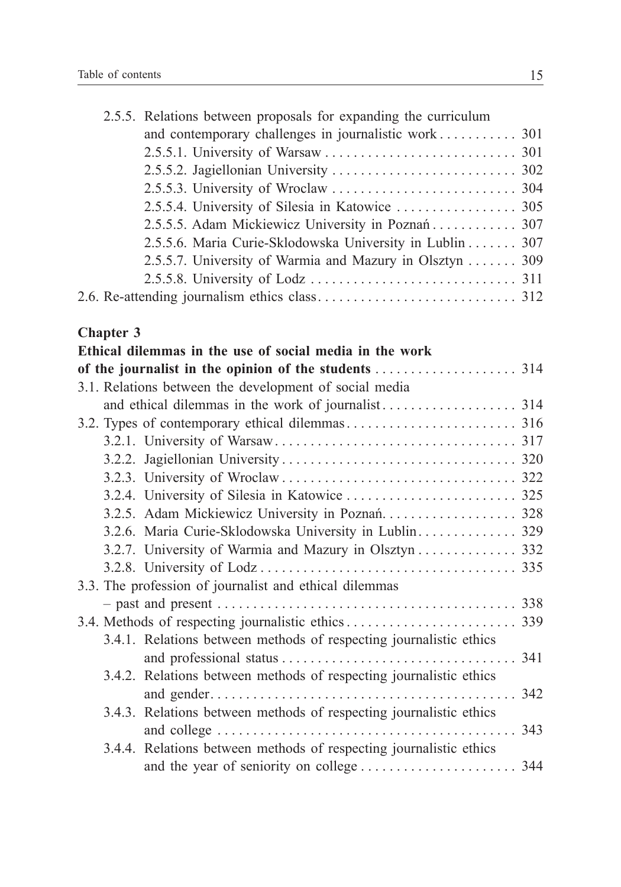| 2.5.5. Relations between proposals for expanding the curriculum |  |
|-----------------------------------------------------------------|--|
|                                                                 |  |
|                                                                 |  |
|                                                                 |  |
|                                                                 |  |
|                                                                 |  |
| 2.5.5.5. Adam Mickiewicz University in Poznań 307               |  |
| 2.5.5.6. Maria Curie-Sklodowska University in Lublin 307        |  |
| 2.5.5.7. University of Warmia and Mazury in Olsztyn 309         |  |
|                                                                 |  |
|                                                                 |  |

## **Chapter 3**

| Ethical dilemmas in the use of social media in the work            |     |
|--------------------------------------------------------------------|-----|
|                                                                    |     |
| 3.1. Relations between the development of social media             |     |
|                                                                    |     |
|                                                                    |     |
|                                                                    |     |
|                                                                    |     |
|                                                                    |     |
|                                                                    |     |
|                                                                    |     |
| 3.2.6. Maria Curie-Sklodowska University in Lublin 329             |     |
| 3.2.7. University of Warmia and Mazury in Olsztyn  332             |     |
|                                                                    |     |
| 3.3. The profession of journalist and ethical dilemmas             |     |
|                                                                    |     |
|                                                                    |     |
| 3.4.1. Relations between methods of respecting journalistic ethics |     |
|                                                                    | 341 |
| 3.4.2. Relations between methods of respecting journalistic ethics |     |
|                                                                    | 342 |
| 3.4.3. Relations between methods of respecting journalistic ethics |     |
|                                                                    | 343 |
| 3.4.4. Relations between methods of respecting journalistic ethics |     |
|                                                                    |     |